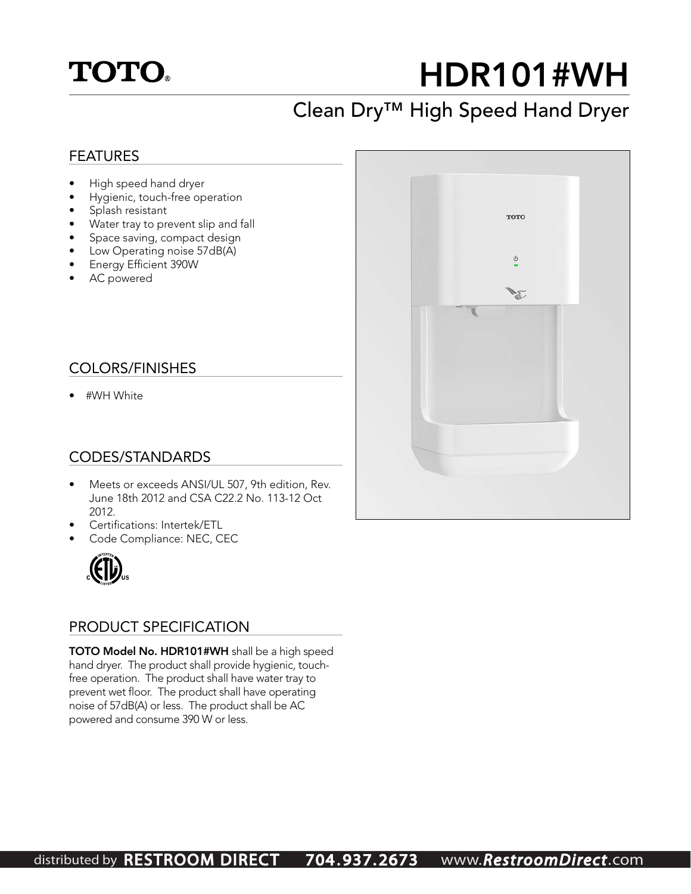

## HDR101#WH

### Clean Dry™ High Speed Hand Dryer

#### FEATURES

- High speed hand dryer
- Hygienic, touch-free operation
- Splash resistant
- Water tray to prevent slip and fall
- Space saving, compact design
- Low Operating noise 57dB(A)
- Energy Efficient 390W
- AC powered

#### COLORS/FINISHES

• #WH White

#### CODES/STANDARDS

- Meets or exceeds ANSI/UL 507, 9th edition, Rev. June 18th 2012 and CSA C22.2 No. 113-12 Oct 2012.
- Certifications: Intertek/ETL
- Code Compliance: NEC, CEC



#### PRODUCT SPECIFICATION

TOTO Model No. HDR101#WH shall be a high speed hand dryer. The product shall provide hygienic, touchfree operation. The product shall have water tray to prevent wet floor. The product shall have operating noise of 57dB(A) or less. The product shall be AC powered and consume 390 W or less.